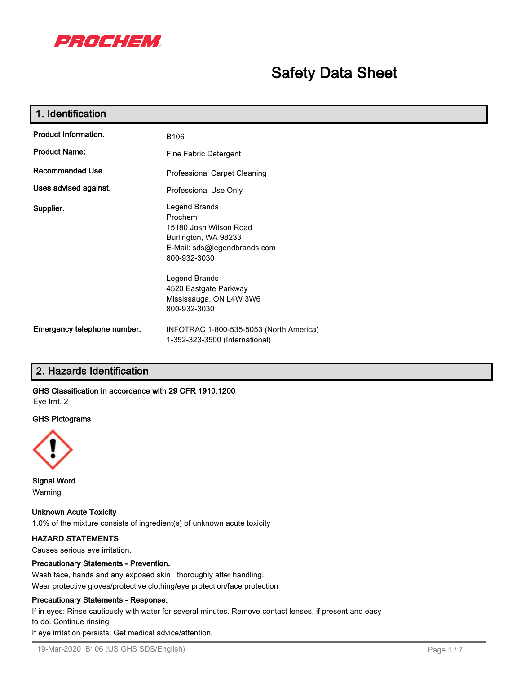

# **Safety Data Sheet**

| 1. Identification           |                                                                                                                                                                      |  |  |  |
|-----------------------------|----------------------------------------------------------------------------------------------------------------------------------------------------------------------|--|--|--|
| <b>Product Information.</b> | B <sub>106</sub>                                                                                                                                                     |  |  |  |
| <b>Product Name:</b>        | Fine Fabric Detergent                                                                                                                                                |  |  |  |
| Recommended Use.            | Professional Carpet Cleaning                                                                                                                                         |  |  |  |
| Uses advised against.       | Professional Use Only                                                                                                                                                |  |  |  |
| Supplier.                   | Legend Brands<br>Prochem<br>15180 Josh Wilson Road<br>Burlington, WA 98233<br>E-Mail: sds@legendbrands.com<br>800-932-3030<br>Legend Brands<br>4520 Eastgate Parkway |  |  |  |
|                             | Mississauga, ON L4W 3W6<br>800-932-3030                                                                                                                              |  |  |  |
| Emergency telephone number. | INFOTRAC 1-800-535-5053 (North America)<br>1-352-323-3500 (International)                                                                                            |  |  |  |

# **2. Hazards Identification**

# **GHS Classification in accordance with 29 CFR 1910.1200**

Eye Irrit. 2

# **GHS Pictograms**



**Signal Word** Warning

**Unknown Acute Toxicity** 1.0% of the mixture consists of ingredient(s) of unknown acute toxicity

# **HAZARD STATEMENTS**

Causes serious eye irritation.

# **Precautionary Statements - Prevention.**

Wash face, hands and any exposed skin thoroughly after handling. Wear protective gloves/protective clothing/eye protection/face protection

#### **Precautionary Statements - Response.**

If in eyes: Rinse cautiously with water for several minutes. Remove contact lenses, if present and easy to do. Continue rinsing.

If eye irritation persists: Get medical advice/attention.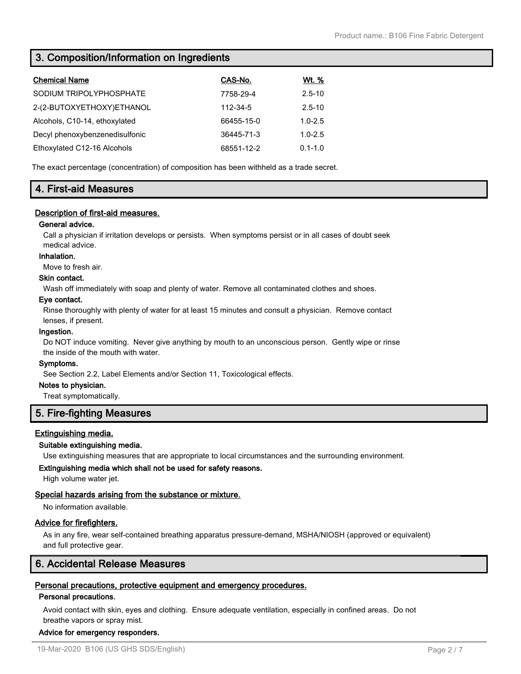# **3. Composition/Information on Ingredients**

| <b>Chemical Name</b>           | CAS-No.    | <u>Wt. %</u> |
|--------------------------------|------------|--------------|
| SODIUM TRIPOLYPHOSPHATE        | 7758-29-4  | $2.5 - 10$   |
| 2-(2-BUTOXYETHOXY)ETHANOL      | 112-34-5   | $2.5 - 10$   |
| Alcohols, C10-14, ethoxylated  | 66455-15-0 | $1.0 - 2.5$  |
| Decyl phenoxybenzenedisulfonic | 36445-71-3 | $1.0 - 2.5$  |
| Ethoxylated C12-16 Alcohols    | 68551-12-2 | $0.1 - 1.0$  |

The exact percentage (concentration) of composition has been withheld as a trade secret.

# **4. First-aid Measures**

# **Description of first-aid measures.**

# **General advice.**

Call a physician if irritation develops or persists. When symptoms persist or in all cases of doubt seek medical advice.

#### **Inhalation.**

Move to fresh air.

# **Skin contact.**

Wash off immediately with soap and plenty of water. Remove all contaminated clothes and shoes.

#### **Eye contact.**

Rinse thoroughly with plenty of water for at least 15 minutes and consult a physician. Remove contact lenses, if present.

#### **Ingestion.**

Do NOT induce vomiting. Never give anything by mouth to an unconscious person. Gently wipe or rinse the inside of the mouth with water.

#### **Symptoms.**

See Section 2.2, Label Elements and/or Section 11, Toxicological effects.

#### **Notes to physician.**

Treat symptomatically.

# **5. Fire-fighting Measures**

# **Extinguishing media.**

# **Suitable extinguishing media.**

Use extinguishing measures that are appropriate to local circumstances and the surrounding environment.

# **Extinguishing media which shall not be used for safety reasons.**

High volume water jet.

# **Special hazards arising from the substance or mixture.**

No information available.

# **Advice for firefighters.**

As in any fire, wear self-contained breathing apparatus pressure-demand, MSHA/NIOSH (approved or equivalent) and full protective gear.

# **6. Accidental Release Measures**

# **Personal precautions, protective equipment and emergency procedures.**

# **Personal precautions.**

Avoid contact with skin, eyes and clothing. Ensure adequate ventilation, especially in confined areas. Do not breathe vapors or spray mist.

# **Advice for emergency responders.**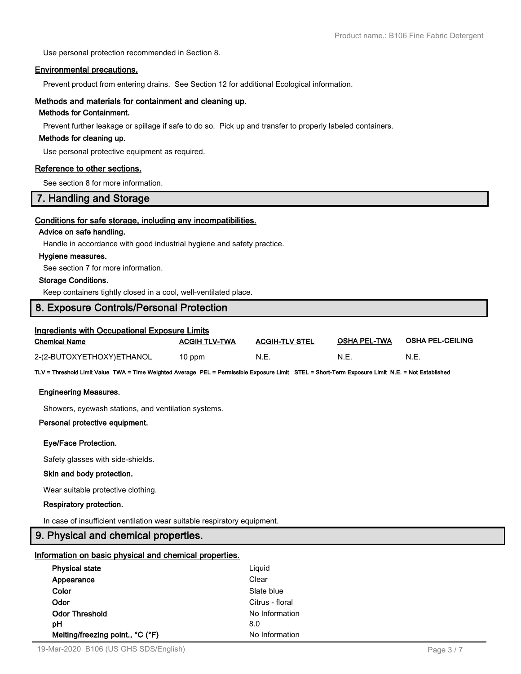Use personal protection recommended in Section 8.

#### **Environmental precautions.**

Prevent product from entering drains. See Section 12 for additional Ecological information.

#### **Methods and materials for containment and cleaning up.**

# **Methods for Containment.**

Prevent further leakage or spillage if safe to do so. Pick up and transfer to properly labeled containers.

#### **Methods for cleaning up.**

Use personal protective equipment as required.

#### **Reference to other sections.**

See section 8 for more information.

# **7. Handling and Storage**

#### **Conditions for safe storage, including any incompatibilities.**

#### **Advice on safe handling.**

Handle in accordance with good industrial hygiene and safety practice.

#### **Hygiene measures.**

See section 7 for more information.

# **Storage Conditions.**

Keep containers tightly closed in a cool, well-ventilated place.

# **8. Exposure Controls/Personal Protection**

| Ingredients with Occupational Exposure Limits |                      |                       |                     |                         |  |  |
|-----------------------------------------------|----------------------|-----------------------|---------------------|-------------------------|--|--|
| Chemical Name                                 | <b>ACGIH TLV-TWA</b> | <b>ACGIH-TLV STEL</b> | <b>OSHA PEL-TWA</b> | <b>OSHA PEL-CEILING</b> |  |  |
| 2-(2-BUTOXYETHOXY)ETHANOL                     | 10 ppm               | N.E.                  | N.E                 | N.E.                    |  |  |

**TLV = Threshold Limit Value TWA = Time Weighted Average PEL = Permissible Exposure Limit STEL = Short-Term Exposure Limit N.E. = Not Established**

#### **Engineering Measures.**

Showers, eyewash stations, and ventilation systems.

#### **Personal protective equipment.**

#### **Eye/Face Protection.**

Safety glasses with side-shields.

#### **Skin and body protection.**

Wear suitable protective clothing.

#### **Respiratory protection.**

In case of insufficient ventilation wear suitable respiratory equipment.

# **9. Physical and chemical properties.**

#### **Information on basic physical and chemical properties.**

| <b>Physical state</b>            | Liguid          |
|----------------------------------|-----------------|
| Appearance                       | Clear           |
| Color                            | Slate blue      |
| Odor                             | Citrus - floral |
| <b>Odor Threshold</b>            | No Information  |
| рH                               | 8.0             |
| Melting/freezing point., °C (°F) | No Information  |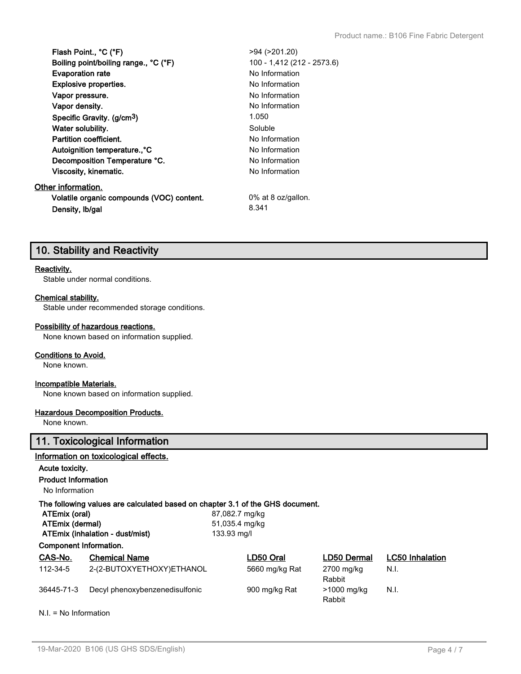| Flash Point., °C (°F)                     | $>94$ ( $>201.20$ )        |
|-------------------------------------------|----------------------------|
| Boiling point/boiling range., °C (°F)     | 100 - 1,412 (212 - 2573.6) |
| <b>Evaporation rate</b>                   | No Information             |
| <b>Explosive properties.</b>              | No Information             |
| Vapor pressure.                           | No Information             |
| Vapor density.                            | No Information             |
| Specific Gravity. (g/cm <sup>3</sup> )    | 1.050                      |
| Water solubility.                         | Soluble                    |
| Partition coefficient.                    | No Information             |
| Autoignition temperature., °C             | No Information             |
| Decomposition Temperature °C.             | No Information             |
| Viscosity, kinematic.                     | No Information             |
| Other information.                        |                            |
| Volatile organic compounds (VOC) content. | 0% at 8 oz/gallon.         |
| Density, Ib/gal                           | 8.341                      |
|                                           |                            |

# **10. Stability and Reactivity**

#### **Reactivity.**

Stable under normal conditions.

# **Chemical stability.**

Stable under recommended storage conditions.

#### **Possibility of hazardous reactions.**

None known based on information supplied.

#### **Conditions to Avoid.**

None known.

# **Incompatible Materials.**

None known based on information supplied.

# **Hazardous Decomposition Products.**

None known.

# **11. Toxicological Information**

# **Information on toxicological effects.**

# **Acute toxicity.**

**Product Information**

No Information

#### **The following values are calculated based on chapter 3.1 of the GHS document.**

| ATEmix (oral)                   | 87,082.7 mg/kg |
|---------------------------------|----------------|
| ATEmix (dermal)                 | 51,035.4 mg/kg |
| ATEmix (inhalation - dust/mist) | 133.93 ma/l    |
| Component Information.          |                |

| CAS-No.    | <b>Chemical Name</b>           | LD50 Oral      | LD50 Dermal           | <b>LC50 Inhalation</b> |
|------------|--------------------------------|----------------|-----------------------|------------------------|
| 112-34-5   | 2-(2-BUTOXYETHOXY)ETHANOL      | 5660 mg/kg Rat | 2700 mg/kg<br>Rabbit  | N.I.                   |
| 36445-71-3 | Decyl phenoxybenzenedisulfonic | 900 mg/kg Rat  | >1000 mg/kg<br>Rabbit | N.I.                   |

N.I. = No Information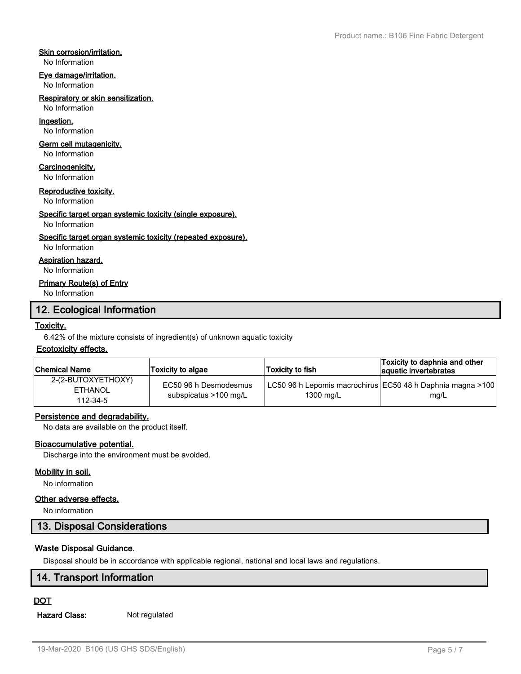# **Skin corrosion/irritation.**

No Information

#### **Eye damage/irritation.**

No Information

#### **Respiratory or skin sensitization.**

No Information

# **Ingestion.**

No Information

#### **Germ cell mutagenicity.**

No Information

# **Carcinogenicity.**

No Information

#### **Reproductive toxicity.**

No Information

# **Specific target organ systemic toxicity (single exposure).**

#### No Information

# **Specific target organ systemic toxicity (repeated exposure).**

No Information

# **Aspiration hazard.**

No Information

# **Primary Route(s) of Entry**

No Information

# **12. Ecological Information**

# **Toxicity.**

6.42% of the mixture consists of ingredient(s) of unknown aquatic toxicity

# **Ecotoxicity effects.**

| <b>Chemical Name</b>                             | Toxicity to algae                              | Toxicity to fish_ | Toxicity to daphnia and other<br>aquatic invertebrates               |
|--------------------------------------------------|------------------------------------------------|-------------------|----------------------------------------------------------------------|
| 2-(2-BUTOXYETHOXY)<br><b>ETHANOL</b><br>112-34-5 | EC50 96 h Desmodesmus<br>subspicatus >100 mg/L | 1300 mg/L         | LC50 96 h Lepomis macrochirus  EC50 48 h Daphnia magna >100 <br>mg/L |

# **Persistence and degradability.**

No data are available on the product itself.

# **Bioaccumulative potential.**

Discharge into the environment must be avoided.

# **Mobility in soil.**

No information

# **Other adverse effects.**

No information

# **13. Disposal Considerations**

# **Waste Disposal Guidance.**

Disposal should be in accordance with applicable regional, national and local laws and regulations.

# **14. Transport Information**

# **DOT**

**Hazard Class:** Not regulated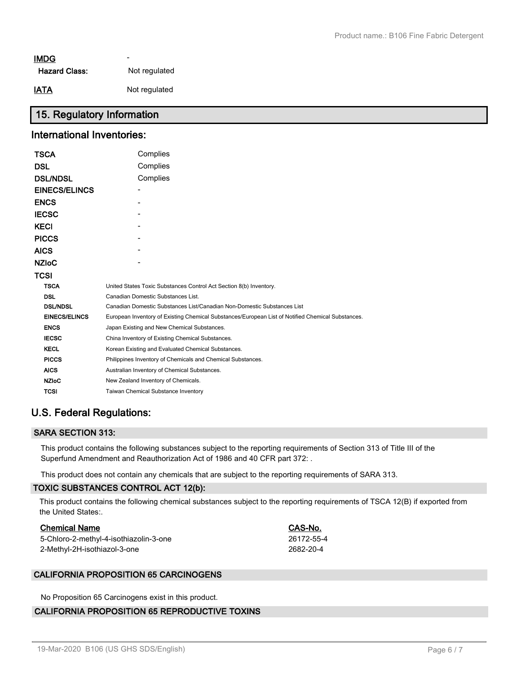# - **IMDG**

| <b>Hazard Class:</b> | Not regulated |
|----------------------|---------------|
|----------------------|---------------|

**IATA** Not regulated

# **15. Regulatory Information**

# **International Inventories:**

| TSCA                 | Complies                                                                                          |
|----------------------|---------------------------------------------------------------------------------------------------|
| DSL                  | Complies                                                                                          |
| <b>DSL/NDSL</b>      | Complies                                                                                          |
| <b>EINECS/ELINCS</b> |                                                                                                   |
| ENCS                 |                                                                                                   |
| <b>IECSC</b>         |                                                                                                   |
| KECI                 |                                                                                                   |
| <b>PICCS</b>         |                                                                                                   |
| AICS                 |                                                                                                   |
| NZIoC                |                                                                                                   |
| TCSI                 |                                                                                                   |
| <b>TSCA</b>          | United States Toxic Substances Control Act Section 8(b) Inventory.                                |
| <b>DSL</b>           | Canadian Domestic Substances List.                                                                |
| <b>DSL/NDSL</b>      | Canadian Domestic Substances List/Canadian Non-Domestic Substances List                           |
| <b>EINECS/ELINCS</b> | European Inventory of Existing Chemical Substances/European List of Notified Chemical Substances. |
| <b>ENCS</b>          | Japan Existing and New Chemical Substances.                                                       |
| <b>IECSC</b>         | China Inventory of Existing Chemical Substances.                                                  |
| <b>KECL</b>          | Korean Existing and Evaluated Chemical Substances.                                                |
| <b>PICCS</b>         | Philippines Inventory of Chemicals and Chemical Substances.                                       |
| <b>AICS</b>          | Australian Inventory of Chemical Substances.                                                      |
| <b>NZIoC</b>         | New Zealand Inventory of Chemicals.                                                               |
| <b>TCSI</b>          | Taiwan Chemical Substance Inventory                                                               |
|                      |                                                                                                   |

# **U.S. Federal Regulations:**

# **SARA SECTION 313:**

This product contains the following substances subject to the reporting requirements of Section 313 of Title III of the Superfund Amendment and Reauthorization Act of 1986 and 40 CFR part 372: .

This product does not contain any chemicals that are subject to the reporting requirements of SARA 313.

# **TOXIC SUBSTANCES CONTROL ACT 12(b):**

This product contains the following chemical substances subject to the reporting requirements of TSCA 12(B) if exported from the United States:.

# **Chemical Name CAS-No.**

| 5-Chloro-2-methyl-4-isothiazolin-3-one | 26172-55-4 |
|----------------------------------------|------------|
| 2-Methyl-2H-isothiazol-3-one           | 2682-20-4  |

# **CALIFORNIA PROPOSITION 65 CARCINOGENS**

No Proposition 65 Carcinogens exist in this product.

# **CALIFORNIA PROPOSITION 65 REPRODUCTIVE TOXINS**